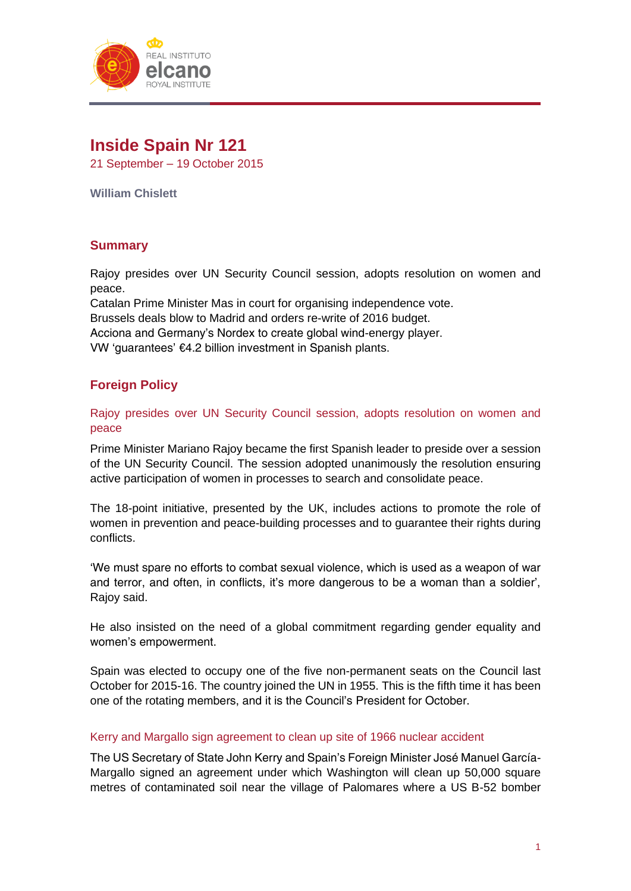

# **Inside Spain Nr 121**

21 September – 19 October 2015

**William Chislett**

# **Summary**

Rajoy presides over UN Security Council session, adopts resolution on women and peace.

Catalan Prime Minister Mas in court for organising independence vote. Brussels deals blow to Madrid and orders re-write of 2016 budget. Acciona and Germany's Nordex to create global wind-energy player. VW 'guarantees' €4.2 billion investment in Spanish plants.

# **Foreign Policy**

Rajoy presides over UN Security Council session, adopts resolution on women and peace

Prime Minister Mariano Rajoy became the first Spanish leader to preside over a session of the UN Security Council. The session adopted unanimously the resolution ensuring active participation of women in processes to search and consolidate peace.

The 18-point initiative, presented by the UK, includes actions to promote the role of women in prevention and peace-building processes and to guarantee their rights during conflicts.

'We must spare no efforts to combat sexual violence, which is used as a weapon of war and terror, and often, in conflicts, it's more dangerous to be a woman than a soldier', Rajoy said.

He also insisted on the need of a global commitment regarding gender equality and women's empowerment.

Spain was elected to occupy one of the five non-permanent seats on the Council last October for 2015-16. The country joined the UN in 1955. This is the fifth time it has been one of the rotating members, and it is the Council's President for October.

# Kerry and Margallo sign agreement to clean up site of 1966 nuclear accident

The US Secretary of State John Kerry and Spain's Foreign Minister José Manuel García-Margallo signed an agreement under which Washington will clean up 50,000 square metres of contaminated soil near the village of Palomares where a US B-52 bomber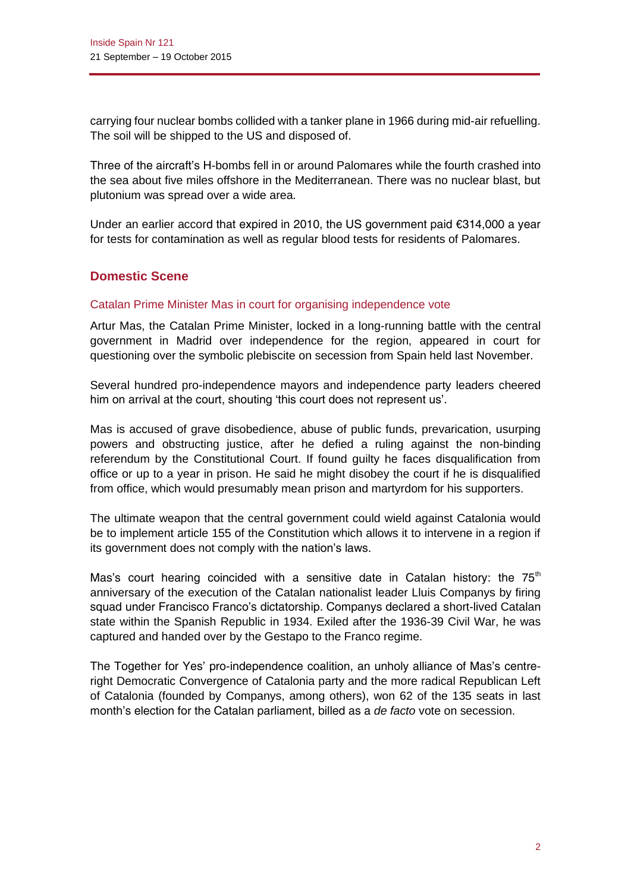carrying four nuclear bombs collided with a tanker plane in 1966 during mid-air refuelling. The soil will be shipped to the US and disposed of.

Three of the aircraft's H-bombs fell in or around Palomares while the fourth crashed into the sea about five miles offshore in the Mediterranean. There was no nuclear blast, but plutonium was spread over a wide area.

Under an earlier accord that expired in 2010, the US government paid €314,000 a year for tests for contamination as well as regular blood tests for residents of Palomares.

# **Domestic Scene**

#### Catalan Prime Minister Mas in court for organising independence vote

Artur Mas, the Catalan Prime Minister, locked in a long-running battle with the central government in Madrid over independence for the region, appeared in court for questioning over the symbolic plebiscite on secession from Spain held last November.

Several hundred pro-independence mayors and independence party leaders cheered him on arrival at the court, shouting 'this court does not represent us'.

Mas is accused of grave disobedience, abuse of public funds, prevarication, usurping powers and obstructing justice, after he defied a ruling against the non-binding referendum by the Constitutional Court. If found guilty he faces disqualification from office or up to a year in prison. He said he might disobey the court if he is disqualified from office, which would presumably mean prison and martyrdom for his supporters.

The ultimate weapon that the central government could wield against Catalonia would be to implement article 155 of the Constitution which allows it to intervene in a region if its government does not comply with the nation's laws.

Mas's court hearing coincided with a sensitive date in Catalan history: the  $75<sup>th</sup>$ anniversary of the execution of the Catalan nationalist leader Lluis Companys by firing squad under Francisco Franco's dictatorship. Companys declared a short-lived Catalan state within the Spanish Republic in 1934. Exiled after the 1936-39 Civil War, he was captured and handed over by the Gestapo to the Franco regime.

The Together for Yes' pro-independence coalition, an unholy alliance of Mas's centreright Democratic Convergence of Catalonia party and the more radical Republican Left of Catalonia (founded by Companys, among others), won 62 of the 135 seats in last month's election for the Catalan parliament, billed as a *de facto* vote on secession.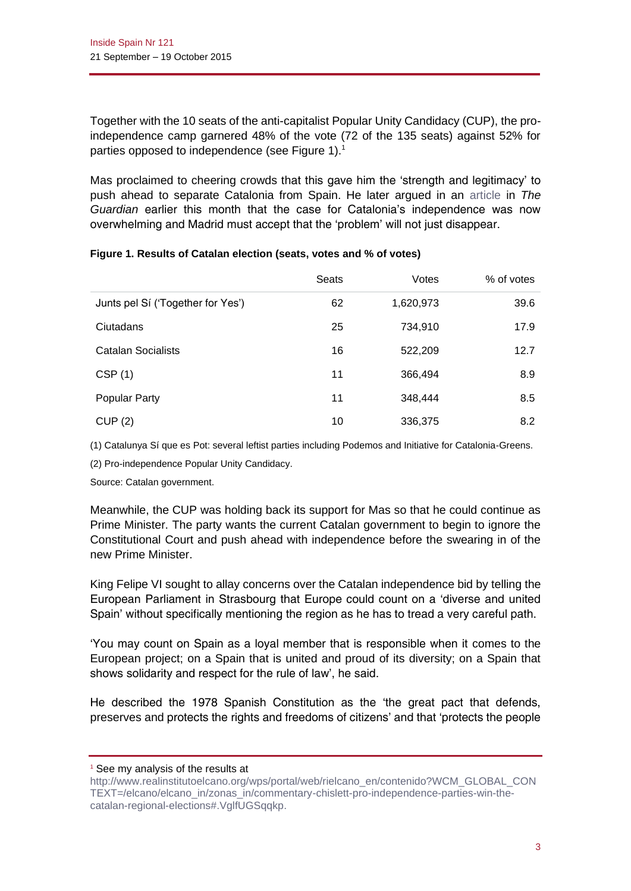Together with the 10 seats of the anti-capitalist Popular Unity Candidacy (CUP), the proindependence camp garnered 48% of the vote (72 of the 135 seats) against 52% for parties opposed to independence (see Figure 1).<sup>1</sup>

Mas proclaimed to cheering crowds that this gave him the 'strength and legitimacy' to push ahead to separate Catalonia from Spain. He later argued in an [article](http://www.theguardian.com/commentisfree/2015/oct/05/catalan-people-spanish-government-catalonia-independence-election-madrid) in *The Guardian* earlier this month that the case for Catalonia's independence was now overwhelming and Madrid must accept that the 'problem' will not just disappear.

|                                   | Seats | Votes     | % of votes |
|-----------------------------------|-------|-----------|------------|
| Junts pel Sí ('Together for Yes') | 62    | 1,620,973 | 39.6       |
| Ciutadans                         | 25    | 734,910   | 17.9       |
| <b>Catalan Socialists</b>         | 16    | 522,209   | 12.7       |
| CSP(1)                            | 11    | 366,494   | 8.9        |
| <b>Popular Party</b>              | 11    | 348,444   | 8.5        |
| CUP(2)                            | 10    | 336,375   | 8.2        |

#### **Figure 1. Results of Catalan election (seats, votes and % of votes)**

(1) Catalunya Sí que es Pot: several leftist parties including Podemos and Initiative for Catalonia-Greens.

(2) Pro-independence Popular Unity Candidacy.

Source: Catalan government.

Meanwhile, the CUP was holding back its support for Mas so that he could continue as Prime Minister. The party wants the current Catalan government to begin to ignore the Constitutional Court and push ahead with independence before the swearing in of the new Prime Minister.

King Felipe VI sought to allay concerns over the Catalan independence bid by telling the European Parliament in Strasbourg that Europe could count on a 'diverse and united Spain' without specifically mentioning the region as he has to tread a very careful path.

'You may count on Spain as a loyal member that is responsible when it comes to the European project; on a Spain that is united and proud of its diversity; on a Spain that shows solidarity and respect for the rule of law', he said.

He described the 1978 Spanish Constitution as the 'the great pact that defends, preserves and protects the rights and freedoms of citizens' and that 'protects the people

<sup>&</sup>lt;sup>1</sup> See my analysis of the results at

[http://www.realinstitutoelcano.org/wps/portal/web/rielcano\\_en/contenido?WCM\\_GLOBAL\\_CON](http://www.realinstitutoelcano.org/wps/portal/web/rielcano_en/contenido?WCM_GLOBAL_CONTEXT=/elcano/elcano_in/zonas_in/commentary-chislett-pro-independence-parties-win-the-catalan-regional-elections#.VglfUGSqqkp) [TEXT=/elcano/elcano\\_in/zonas\\_in/commentary-chislett-pro-independence-parties-win-the](http://www.realinstitutoelcano.org/wps/portal/web/rielcano_en/contenido?WCM_GLOBAL_CONTEXT=/elcano/elcano_in/zonas_in/commentary-chislett-pro-independence-parties-win-the-catalan-regional-elections#.VglfUGSqqkp)[catalan-regional-elections#.VglfUGSqqkp.](http://www.realinstitutoelcano.org/wps/portal/web/rielcano_en/contenido?WCM_GLOBAL_CONTEXT=/elcano/elcano_in/zonas_in/commentary-chislett-pro-independence-parties-win-the-catalan-regional-elections#.VglfUGSqqkp)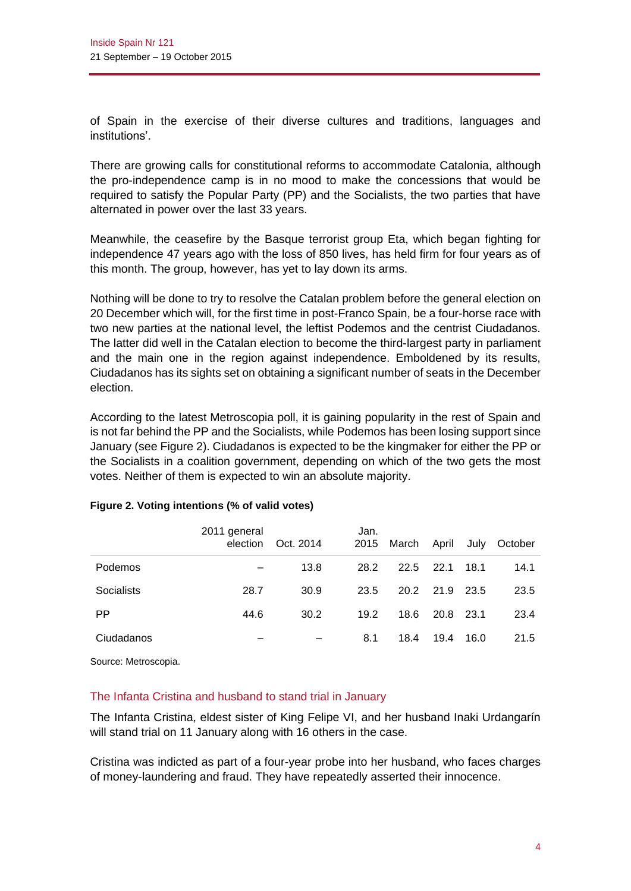of Spain in the exercise of their diverse cultures and traditions, languages and institutions'.

There are growing calls for constitutional reforms to accommodate Catalonia, although the pro-independence camp is in no mood to make the concessions that would be required to satisfy the Popular Party (PP) and the Socialists, the two parties that have alternated in power over the last 33 years.

Meanwhile, the ceasefire by the Basque terrorist group Eta, which began fighting for independence 47 years ago with the loss of 850 lives, has held firm for four years as of this month. The group, however, has yet to lay down its arms.

Nothing will be done to try to resolve the Catalan problem before the general election on 20 December which will, for the first time in post-Franco Spain, be a four-horse race with two new parties at the national level, the leftist Podemos and the centrist Ciudadanos. The latter did well in the Catalan election to become the third-largest party in parliament and the main one in the region against independence. Emboldened by its results, Ciudadanos has its sights set on obtaining a significant number of seats in the December election.

According to the latest Metroscopia poll, it is gaining popularity in the rest of Spain and is not far behind the PP and the Socialists, while Podemos has been losing support since January (see Figure 2). Ciudadanos is expected to be the kingmaker for either the PP or the Socialists in a coalition government, depending on which of the two gets the most votes. Neither of them is expected to win an absolute majority.

|            | 2011 general<br>election | Oct. 2014 | Jan.<br>2015 | March | April     | July   | October |
|------------|--------------------------|-----------|--------------|-------|-----------|--------|---------|
| Podemos    |                          | 13.8      | 28.2         |       | 22.5 22.1 | 18.1   | 14.1    |
| Socialists | 28.7                     | 30.9      | 23.5         |       | 20.2 21.9 | - 23.5 | 23.5    |
| PP         | 44.6                     | 30.2      | 19.2         | 18.6  | 20.8      | - 23.1 | 23.4    |
| Ciudadanos |                          |           | 8.1          | 18.4  | 19.4      | 16.0   | 21.5    |

# **Figure 2. Voting intentions (% of valid votes)**

Source: Metroscopia.

# The Infanta Cristina and husband to stand trial in January

The Infanta Cristina, eldest sister of King Felipe VI, and her husband Inaki Urdangarín will stand trial on 11 January along with 16 others in the case.

Cristina was indicted as part of a four-year probe into her husband, who faces charges of money-laundering and fraud. They have repeatedly asserted their innocence.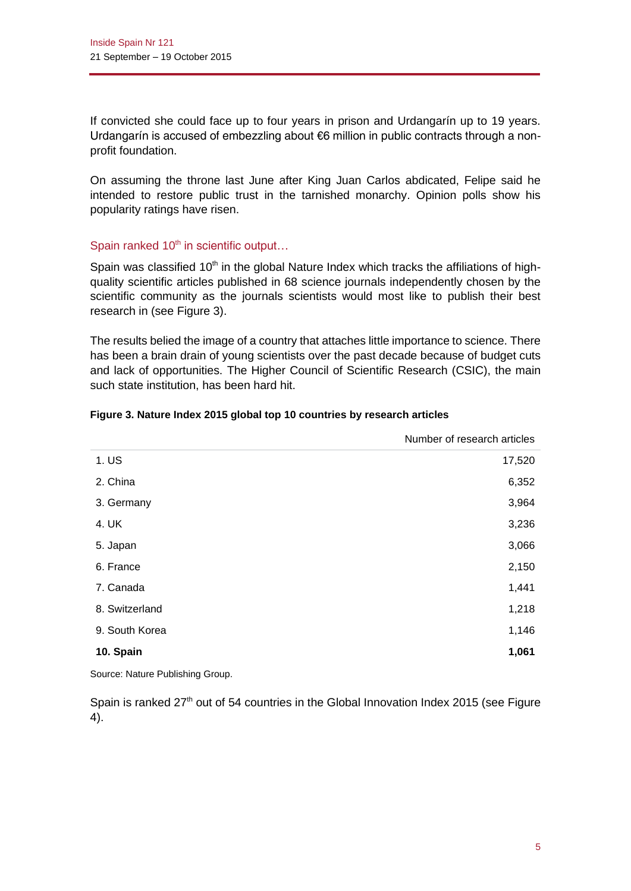If convicted she could face up to four years in prison and Urdangarín up to 19 years. Urdangarín is accused of embezzling about €6 million in public contracts through a nonprofit foundation.

On assuming the throne last June after King Juan Carlos abdicated, Felipe said he intended to restore public trust in the tarnished monarchy. Opinion polls show his popularity ratings have risen.

# Spain ranked  $10<sup>th</sup>$  in scientific output...

Spain was classified  $10<sup>th</sup>$  in the global Nature Index which tracks the affiliations of highquality scientific articles published in 68 science journals independently chosen by the scientific community as the journals scientists would most like to publish their best research in (see Figure 3).

The results belied the image of a country that attaches little importance to science. There has been a brain drain of young scientists over the past decade because of budget cuts and lack of opportunities. The Higher Council of Scientific Research (CSIC), the main such state institution, has been hard hit.

|                | Number of research articles |
|----------------|-----------------------------|
| 1. US          | 17,520                      |
| 2. China       | 6,352                       |
| 3. Germany     | 3,964                       |
| 4. UK          | 3,236                       |
| 5. Japan       | 3,066                       |
| 6. France      | 2,150                       |
| 7. Canada      | 1,441                       |
| 8. Switzerland | 1,218                       |
| 9. South Korea | 1,146                       |
| 10. Spain      | 1,061                       |

#### **Figure 3. Nature Index 2015 global top 10 countries by research articles**

Source: Nature Publishing Group.

Spain is ranked 27<sup>th</sup> out of 54 countries in the Global Innovation Index 2015 (see Figure 4).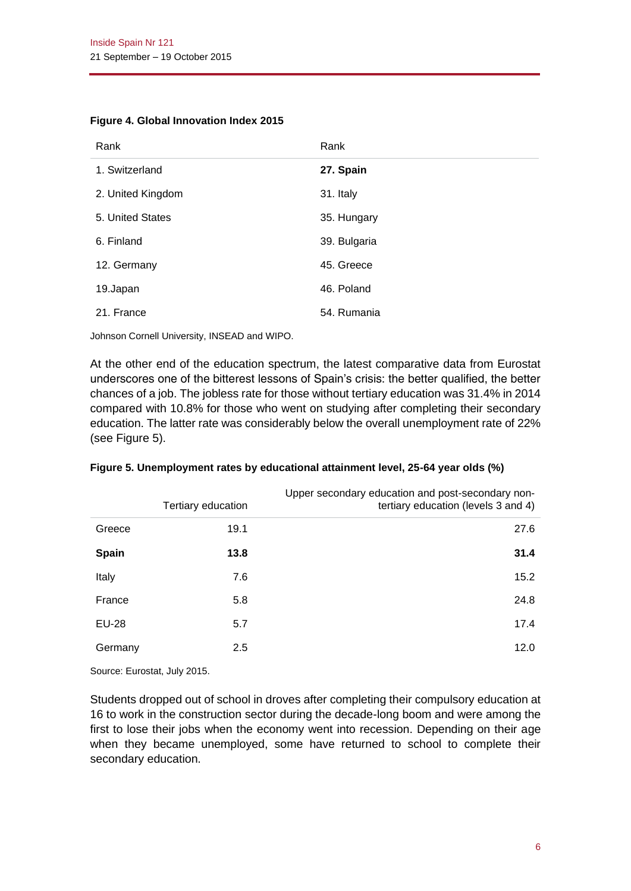| Rank              | Rank         |
|-------------------|--------------|
| 1. Switzerland    | 27. Spain    |
| 2. United Kingdom | 31. Italy    |
| 5. United States  | 35. Hungary  |
| 6. Finland        | 39. Bulgaria |
| 12. Germany       | 45. Greece   |
| 19.Japan          | 46. Poland   |
| 21. France        | 54. Rumania  |

#### **Figure 4. Global Innovation Index 2015**

Johnson Cornell University, INSEAD and WIPO.

At the other end of the education spectrum, the latest comparative data from Eurostat underscores one of the bitterest lessons of Spain's crisis: the better qualified, the better chances of a job. The jobless rate for those without tertiary education was 31.4% in 2014 compared with 10.8% for those who went on studying after completing their secondary education. The latter rate was considerably below the overall unemployment rate of 22% (see Figure 5).

|              | Tertiary education | Upper secondary education and post-secondary non-<br>tertiary education (levels 3 and 4) |
|--------------|--------------------|------------------------------------------------------------------------------------------|
| Greece       | 19.1               | 27.6                                                                                     |
| <b>Spain</b> | 13.8               | 31.4                                                                                     |
| Italy        | 7.6                | 15.2                                                                                     |
| France       | 5.8                | 24.8                                                                                     |
| EU-28        | 5.7                | 17.4                                                                                     |
| Germany      | 2.5                | 12.0                                                                                     |

|  |  | Figure 5. Unemployment rates by educational attainment level, 25-64 year olds (%) |  |  |  |  |
|--|--|-----------------------------------------------------------------------------------|--|--|--|--|
|--|--|-----------------------------------------------------------------------------------|--|--|--|--|

Source: Eurostat, July 2015.

Students dropped out of school in droves after completing their compulsory education at 16 to work in the construction sector during the decade-long boom and were among the first to lose their jobs when the economy went into recession. Depending on their age when they became unemployed, some have returned to school to complete their secondary education.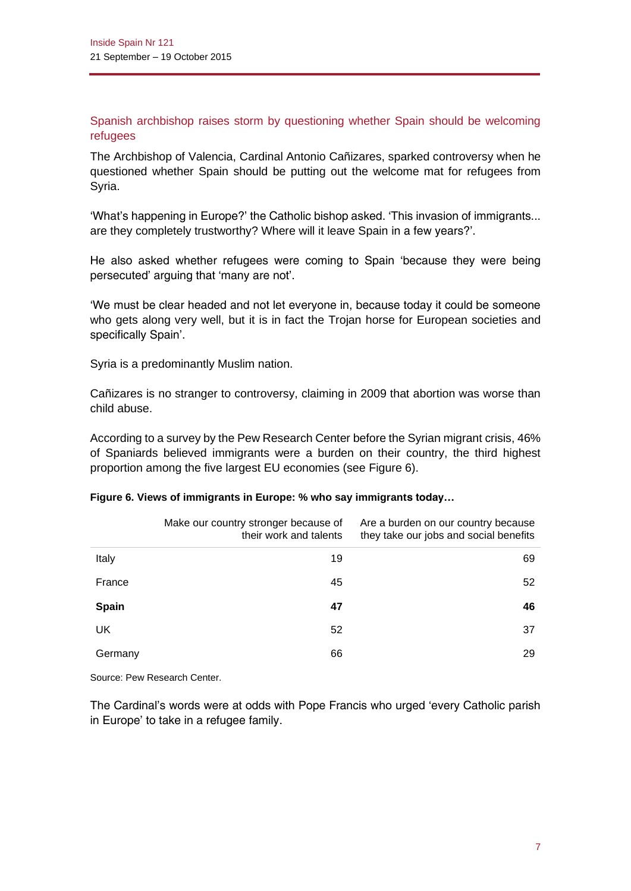Spanish archbishop raises storm by questioning whether Spain should be welcoming refugees

The Archbishop of Valencia, Cardinal Antonio Cañizares, sparked controversy when he questioned whether Spain should be putting out the welcome mat for refugees from Syria.

'What's happening in Europe?' the Catholic bishop asked. 'This invasion of immigrants... are they completely trustworthy? Where will it leave Spain in a few years?'.

He also asked whether refugees were coming to Spain 'because they were being persecuted' arguing that 'many are not'.

'We must be clear headed and not let everyone in, because today it could be someone who gets along very well, but it is in fact the Trojan horse for European societies and specifically Spain'.

Syria is a predominantly Muslim nation.

Cañizares is no stranger to controversy, claiming in 2009 that abortion was worse than child abuse.

According to a survey by the Pew Research Center before the Syrian migrant crisis, 46% of Spaniards believed immigrants were a burden on their country, the third highest proportion among the five largest EU economies (see Figure 6).

|         | Make our country stronger because of<br>their work and talents | Are a burden on our country because<br>they take our jobs and social benefits |
|---------|----------------------------------------------------------------|-------------------------------------------------------------------------------|
| Italy   | 19                                                             | 69                                                                            |
| France  | 45                                                             | 52                                                                            |
| Spain   | 47                                                             | 46                                                                            |
| UK      | 52                                                             | 37                                                                            |
| Germany | 66                                                             | 29                                                                            |

#### **Figure 6. Views of immigrants in Europe: % who say immigrants today…**

Source: Pew Research Center.

The Cardinal's words were at odds with Pope Francis who urged 'every Catholic parish in Europe' to take in a refugee family.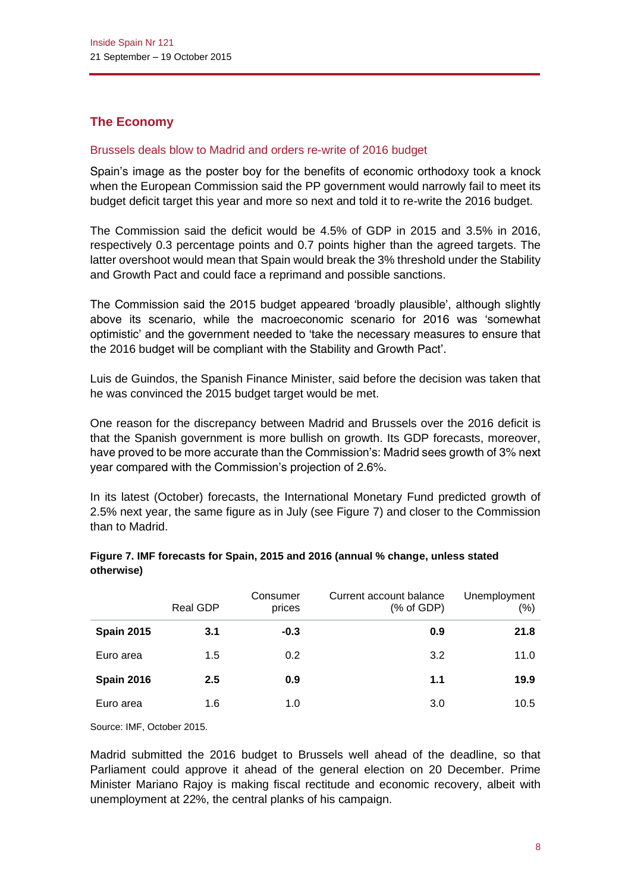# **The Economy**

# Brussels deals blow to Madrid and orders re-write of 2016 budget

Spain's image as the poster boy for the benefits of economic orthodoxy took a knock when the European Commission said the PP government would narrowly fail to meet its budget deficit target this year and more so next and told it to re-write the 2016 budget.

The Commission said the deficit would be 4.5% of GDP in 2015 and 3.5% in 2016, respectively 0.3 percentage points and 0.7 points higher than the agreed targets. The latter overshoot would mean that Spain would break the 3% threshold under the Stability and Growth Pact and could face a reprimand and possible sanctions.

The Commission said the 2015 budget appeared 'broadly plausible', although slightly above its scenario, while the macroeconomic scenario for 2016 was 'somewhat optimistic' and the government needed to 'take the necessary measures to ensure that the 2016 budget will be compliant with the Stability and Growth Pact'.

Luis de Guindos, the Spanish Finance Minister, said before the decision was taken that he was convinced the 2015 budget target would be met.

One reason for the discrepancy between Madrid and Brussels over the 2016 deficit is that the Spanish government is more bullish on growth. Its GDP forecasts, moreover, have proved to be more accurate than the Commission's: Madrid sees growth of 3% next year compared with the Commission's projection of 2.6%.

In its latest (October) forecasts, the International Monetary Fund predicted growth of 2.5% next year, the same figure as in July (see Figure 7) and closer to the Commission than to Madrid.

|                   | <b>Real GDP</b> | Consumer<br>prices | Current account balance<br>$(% )^{2}(x)$ of GDP) | Unemployment<br>$(\% )$ |
|-------------------|-----------------|--------------------|--------------------------------------------------|-------------------------|
| <b>Spain 2015</b> | 3.1             | $-0.3$             | 0.9                                              | 21.8                    |
| Euro area         | 1.5             | 0.2                | 3.2                                              | 11.0                    |
| <b>Spain 2016</b> | 2.5             | 0.9                | 1.1                                              | 19.9                    |
| Euro area         | 1.6             | 1.0                | 3.0                                              | 10.5                    |

#### **Figure 7. IMF forecasts for Spain, 2015 and 2016 (annual % change, unless stated otherwise)**

Source: IMF, October 2015.

Madrid submitted the 2016 budget to Brussels well ahead of the deadline, so that Parliament could approve it ahead of the general election on 20 December. Prime Minister Mariano Rajoy is making fiscal rectitude and economic recovery, albeit with unemployment at 22%, the central planks of his campaign.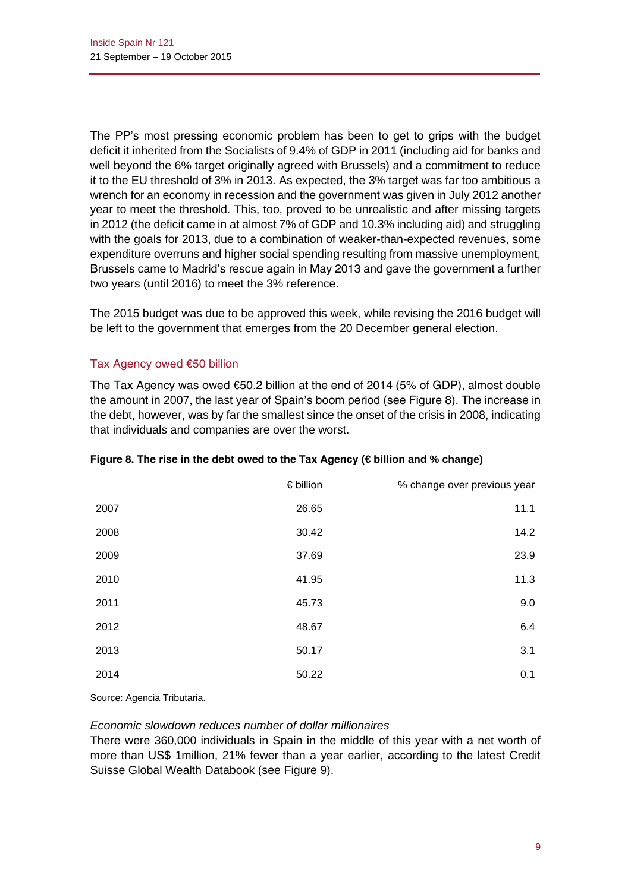The PP's most pressing economic problem has been to get to grips with the budget deficit it inherited from the Socialists of 9.4% of GDP in 2011 (including aid for banks and well beyond the 6% target originally agreed with Brussels) and a commitment to reduce it to the EU threshold of 3% in 2013. As expected, the 3% target was far too ambitious a wrench for an economy in recession and the government was given in July 2012 another year to meet the threshold. This, too, proved to be unrealistic and after missing targets in 2012 (the deficit came in at almost 7% of GDP and 10.3% including aid) and struggling with the goals for 2013, due to a combination of weaker-than-expected revenues, some expenditure overruns and higher social spending resulting from massive unemployment, Brussels came to Madrid's rescue again in May 2013 and gave the government a further two years (until 2016) to meet the 3% reference.

The 2015 budget was due to be approved this week, while revising the 2016 budget will be left to the government that emerges from the 20 December general election.

# Tax Agency owed €50 billion

The Tax Agency was owed  $€50.2$  billion at the end of 2014 (5% of GDP), almost double the amount in 2007, the last year of Spain's boom period (see Figure 8). The increase in the debt, however, was by far the smallest since the onset of the crisis in 2008, indicating that individuals and companies are over the worst.

|      | $\epsilon$ billion | % change over previous year |
|------|--------------------|-----------------------------|
| 2007 | 26.65              | 11.1                        |
| 2008 | 30.42              | 14.2                        |
| 2009 | 37.69              | 23.9                        |
| 2010 | 41.95              | 11.3                        |
| 2011 | 45.73              | 9.0                         |
| 2012 | 48.67              | 6.4                         |
| 2013 | 50.17              | 3.1                         |
| 2014 | 50.22              | 0.1                         |

# **Figure 8. The rise in the debt owed to the Tax Agency (€ billion and % change)**

Source: Agencia Tributaria.

#### *Economic slowdown reduces number of dollar millionaires*

There were 360,000 individuals in Spain in the middle of this year with a net worth of more than US\$ 1million, 21% fewer than a year earlier, according to the latest Credit Suisse Global Wealth Databook (see Figure 9).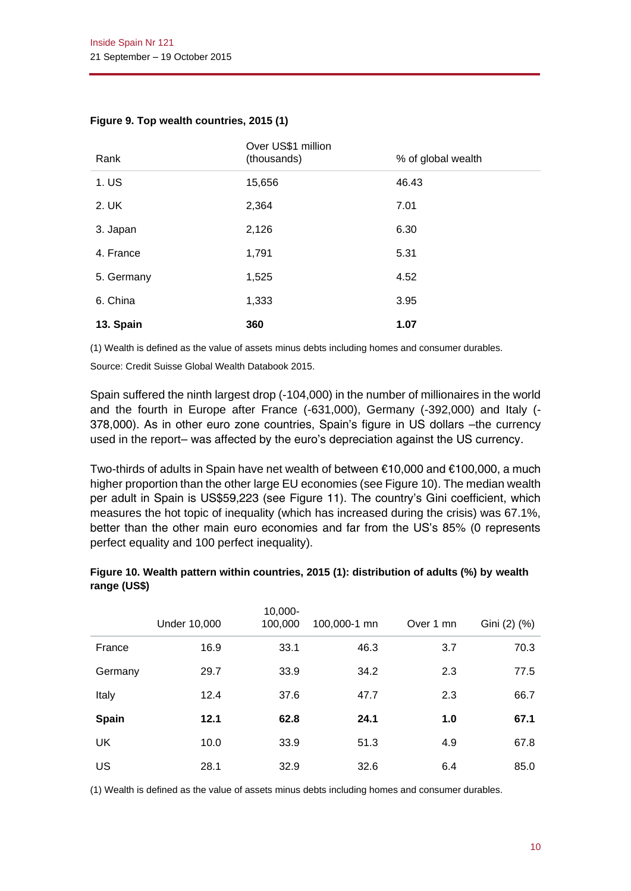| Rank       | Over US\$1 million<br>(thousands) | % of global wealth |
|------------|-----------------------------------|--------------------|
| 1. US      | 15,656                            | 46.43              |
| 2. UK      | 2,364                             | 7.01               |
| 3. Japan   | 2,126                             | 6.30               |
| 4. France  | 1,791                             | 5.31               |
| 5. Germany | 1,525                             | 4.52               |
| 6. China   | 1,333                             | 3.95               |
| 13. Spain  | 360                               | 1.07               |

#### **Figure 9. Top wealth countries, 2015 (1)**

(1) Wealth is defined as the value of assets minus debts including homes and consumer durables.

Source: Credit Suisse Global Wealth Databook 2015.

Spain suffered the ninth largest drop (-104,000) in the number of millionaires in the world and the fourth in Europe after France (-631,000), Germany (-392,000) and Italy (- 378,000). As in other euro zone countries, Spain's figure in US dollars –the currency used in the report– was affected by the euro's depreciation against the US currency.

Two-thirds of adults in Spain have net wealth of between €10,000 and €100,000, a much higher proportion than the other large EU economies (see Figure 10). The median wealth per adult in Spain is US\$59,223 (see Figure 11). The country's Gini coefficient, which measures the hot topic of inequality (which has increased during the crisis) was 67.1%, better than the other main euro economies and far from the US's 85% (0 represents perfect equality and 100 perfect inequality).

|              | <b>Under 10,000</b> | 10,000-<br>100,000 | 100,000-1 mn | Over 1 mn | Gini (2) (%) |
|--------------|---------------------|--------------------|--------------|-----------|--------------|
| France       | 16.9                | 33.1               | 46.3         | 3.7       | 70.3         |
| Germany      | 29.7                | 33.9               | 34.2         | 2.3       | 77.5         |
| Italy        | 12.4                | 37.6               | 47.7         | 2.3       | 66.7         |
| <b>Spain</b> | 12.1                | 62.8               | 24.1         | 1.0       | 67.1         |
| UK           | 10.0                | 33.9               | 51.3         | 4.9       | 67.8         |
| US           | 28.1                | 32.9               | 32.6         | 6.4       | 85.0         |

#### **Figure 10. Wealth pattern within countries, 2015 (1): distribution of adults (%) by wealth range (US\$)**

(1) Wealth is defined as the value of assets minus debts including homes and consumer durables.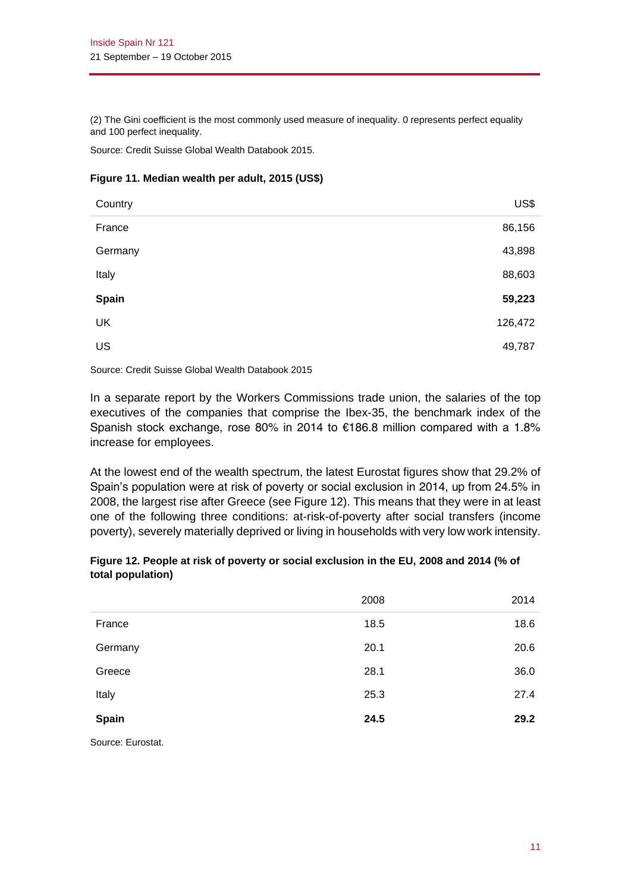(2) The Gini coefficient is the most commonly used measure of inequality. 0 represents perfect equality and 100 perfect inequality.

Source: Credit Suisse Global Wealth Databook 2015.

#### **Figure 11. Median wealth per adult, 2015 (US\$)**

| Country | US\$    |
|---------|---------|
| France  | 86,156  |
| Germany | 43,898  |
| Italy   | 88,603  |
| Spain   | 59,223  |
| UK      | 126,472 |
| US      | 49,787  |

Source: Credit Suisse Global Wealth Databook 2015

In a separate report by the Workers Commissions trade union, the salaries of the top executives of the companies that comprise the Ibex-35, the benchmark index of the Spanish stock exchange, rose 80% in 2014 to €186.8 million compared with a 1.8% increase for employees.

At the lowest end of the wealth spectrum, the latest Eurostat figures show that 29.2% of Spain's population were at risk of poverty or social exclusion in 2014, up from 24.5% in 2008, the largest rise after Greece (see Figure 12). This means that they were in at least one of the following three conditions: at-risk-of-poverty after social transfers (income poverty), severely materially deprived or living in households with very low work intensity.

| Figure 12. People at risk of poverty or social exclusion in the EU, 2008 and 2014 (% of |  |
|-----------------------------------------------------------------------------------------|--|
| total population)                                                                       |  |

|                   | 2008 | 2014 |
|-------------------|------|------|
| France            | 18.5 | 18.6 |
| Germany           | 20.1 | 20.6 |
| Greece            | 28.1 | 36.0 |
| Italy             | 25.3 | 27.4 |
| <b>Spain</b>      | 24.5 | 29.2 |
| Source: Eurostat. |      |      |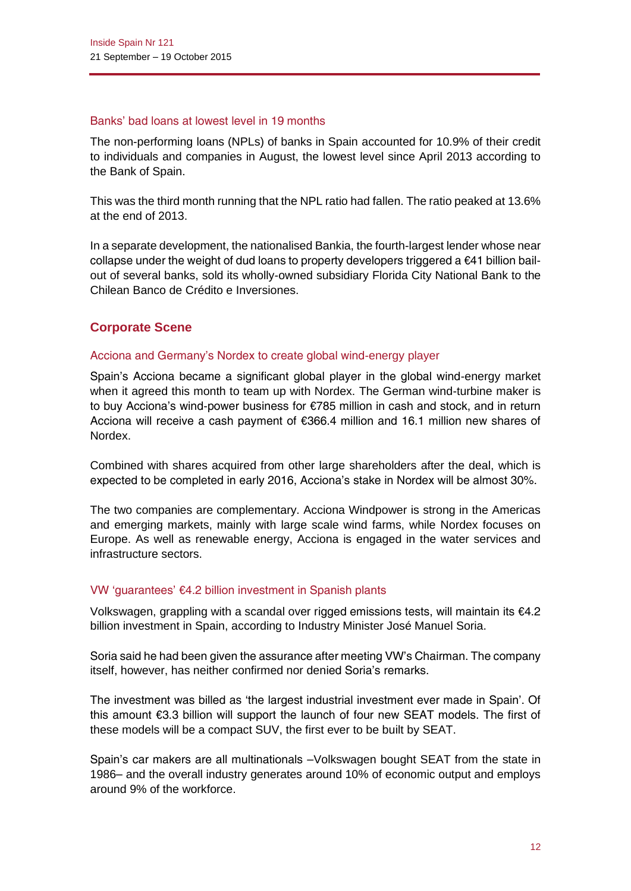## Banks' bad loans at lowest level in 19 months

The non-performing loans (NPLs) of banks in Spain accounted for 10.9% of their credit to individuals and companies in August, the lowest level since April 2013 according to the Bank of Spain.

This was the third month running that the NPL ratio had fallen. The ratio peaked at 13.6% at the end of 2013.

In a separate development, the nationalised Bankia, the fourth-largest lender whose near collapse under the weight of dud loans to property developers triggered a €41 billion bailout of several banks, sold its wholly-owned subsidiary Florida City National Bank to the Chilean Banco de Crédito e Inversiones.

# **Corporate Scene**

# Acciona and Germany's Nordex to create global wind-energy player

Spain's Acciona became a significant global player in the global wind-energy market when it agreed this month to team up with Nordex. The German wind-turbine maker is to buy Acciona's wind-power business for €785 million in cash and stock, and in return Acciona will receive a cash payment of €366.4 million and 16.1 million new shares of Nordex.

Combined with shares acquired from other large shareholders after the deal, which is expected to be completed in early 2016, Acciona's stake in Nordex will be almost 30%.

The two companies are complementary. Acciona Windpower is strong in the Americas and emerging markets, mainly with large scale wind farms, while Nordex focuses on Europe. As well as renewable energy, Acciona is engaged in the water services and infrastructure sectors.

# VW 'guarantees' €4.2 billion investment in Spanish plants

Volkswagen, grappling with a scandal over rigged emissions tests, will maintain its  $\epsilon$ 4.2 billion investment in Spain, according to Industry Minister José Manuel Soria.

Soria said he had been given the assurance after meeting VW's Chairman. The company itself, however, has neither confirmed nor denied Soria's remarks.

The investment was billed as 'the largest industrial investment ever made in Spain'. Of this amount €3.3 billion will support the launch of four new SEAT models. The first of these models will be a compact SUV, the first ever to be built by SEAT.

Spain's car makers are all multinationals –Volkswagen bought SEAT from the state in 1986– and the overall industry generates around 10% of economic output and employs around 9% of the workforce.